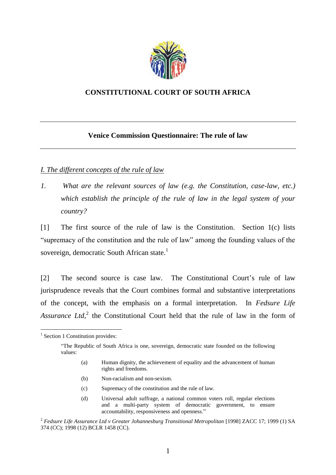

### **CONSTITUTIONAL COURT OF SOUTH AFRICA**

### **Venice Commission Questionnaire: The rule of law**

### *I. The different concepts of the rule of law*

*1. What are the relevant sources of law (e.g. the Constitution, case-law, etc.) which establish the principle of the rule of law in the legal system of your country?*

[1] The first source of the rule of law is the Constitution. Section 1(c) lists "supremacy of the constitution and the rule of law" among the founding values of the sovereign, democratic South African state.<sup>1</sup>

[2] The second source is case law. The Constitutional Court's rule of law jurisprudence reveals that the Court combines formal and substantive interpretations of the concept, with the emphasis on a formal interpretation. In *Fedsure Life*  Assurance Ltd,<sup>2</sup> the Constitutional Court held that the rule of law in the form of

- (b) Non-racialism and non-sexism.
- (c) Supremacy of the constitution and the rule of law.
- (d) Universal adult suffrage, a national common voters roll, regular elections and a multi-party system of democratic government, to ensure accountability, responsiveness and openness."

<sup>&</sup>lt;sup>1</sup> Section 1 Constitution provides:

<sup>&</sup>quot;The Republic of South Africa is one, sovereign, democratic state founded on the following values:

<sup>(</sup>a) Human dignity, the achievement of equality and the advancement of human rights and freedoms.

<sup>&</sup>lt;sup>2</sup> Fedsure Life Assurance Ltd v Greater Johannesburg Transitional Metropolitan [1998] ZACC 17; 1999 (1) SA 374 (CC); 1998 (12) BCLR 1458 (CC).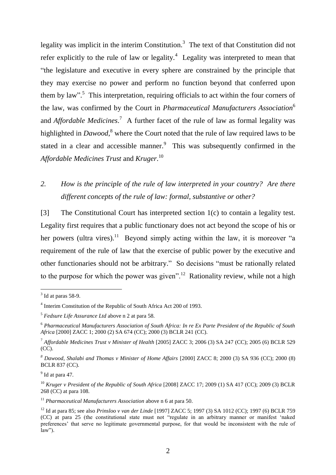legality was implicit in the interim Constitution.<sup>3</sup> The text of that Constitution did not refer explicitly to the rule of law or legality.<sup>4</sup> Legality was interpreted to mean that "the legislature and executive in every sphere are constrained by the principle that they may exercise no power and perform no function beyond that conferred upon them by law".<sup>5</sup> This interpretation, requiring officials to act within the four corners of the law, was confirmed by the Court in *Pharmaceutical Manufacturers Association*<sup>6</sup> and *Affordable Medicines*.<sup>7</sup> A further facet of the rule of law as formal legality was highlighted in *Dawood*, <sup>8</sup> where the Court noted that the rule of law required laws to be stated in a clear and accessible manner. $9$  This was subsequently confirmed in the *Affordable Medicines Trust* and *Kruger*. 10

# *2. How is the principle of the rule of law interpreted in your country? Are there different concepts of the rule of law: formal, substantive or other?*

[3] The Constitutional Court has interpreted section 1(c) to contain a legality test. Legality first requires that a public functionary does not act beyond the scope of his or her powers (ultra vires).<sup>11</sup> Beyond simply acting within the law, it is moreover "a requirement of the rule of law that the exercise of public power by the executive and other functionaries should not be arbitrary." So decisions "must be rationally related to the purpose for which the power was given".<sup>12</sup> Rationality review, while not a high

 $\overline{a}$ 

<sup>9</sup> Id at para 47.

 $3$  Id at paras 58-9.

<sup>4</sup> Interim Constitution of the Republic of South Africa Act 200 of 1993.

<sup>5</sup> *Fedsure Life Assurance Ltd* above n 2 at para 58.

<sup>6</sup> *Pharmaceutical Manufacturers Association of South Africa: In re Ex Parte President of the Republic of South Africa* [2000] ZACC 1; 2000 (2) SA 674 (CC); 2000 (3) BCLR 241 (CC).

<sup>7</sup> *Affordable Medicines Trust v Minister of Health* [2005] ZACC 3; 2006 (3) SA 247 (CC); 2005 (6) BCLR 529 (CC).

*<sup>8</sup> Dawood, Shalabi and Thomas v Minister of Home Affairs* [2000] ZACC 8; 2000 (3) SA 936 (CC); 2000 (8) BCLR 837 (CC).

<sup>&</sup>lt;sup>10</sup> *Kruger v President of the Republic of South Africa* [2008] ZACC 17; 2009 (1) SA 417 (CC); 2009 (3) BCLR 268 (CC) at para 108.

<sup>&</sup>lt;sup>11</sup> *Pharmaceutical Manufacturers Association* above n 6 at para 50.

<sup>12</sup> Id at para 85; see also *Prinsloo v van der Linde* [1997] ZACC 5; 1997 (3) SA 1012 (CC); 1997 (6) BCLR 759 (CC) at para 25 (the constitutional state must not "regulate in an arbitrary manner or manifest 'naked preferences' that serve no legitimate governmental purpose, for that would be inconsistent with the rule of  $law$ ").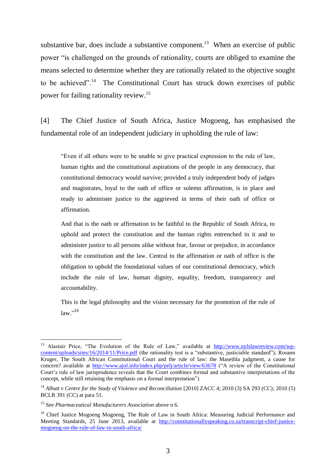substantive bar, does include a substantive component.<sup>13</sup> When an exercise of public power "is challenged on the grounds of rationality, courts are obliged to examine the means selected to determine whether they are rationally related to the objective sought to be achieved".<sup>14</sup> The Constitutional Court has struck down exercises of public power for failing rationality review.<sup>15</sup>

[4] The Chief Justice of South Africa, Justice Mogoeng, has emphasised the fundamental role of an independent judiciary in upholding the rule of law:

"Even if all others were to be unable to give practical expression to the rule of law, human rights and the constitutional aspirations of the people in any democracy, that constitutional democracy would survive; provided a truly independent body of judges and magistrates, loyal to the oath of office or solemn affirmation, is in place and ready to administer justice to the aggrieved in terms of their oath of office or affirmation.

And that is the oath or affirmation to be faithful to the Republic of South Africa, to uphold and protect the constitution and the human rights entrenched in it and to administer justice to all persons alike without fear, favour or prejudice, in accordance with the constitution and the law. Central to the affirmation or oath of office is the obligation to uphold the foundational values of our constitutional democracy, which include the rule of law, human dignity, equality, freedom, transparency and accountability.

This is the legal philosophy and the vision necessary for the promotion of the rule of law."<sup>16</sup>

<sup>&</sup>lt;sup>13</sup> Alastair Price, "The Evolution of the Rule of Law," available at [http://www.nylslawreview.com/wp](http://www.nylslawreview.com/wp-content/uploads/sites/16/2014/11/Price.pdf)[content/uploads/sites/16/2014/11/Price.pdf](http://www.nylslawreview.com/wp-content/uploads/sites/16/2014/11/Price.pdf) (the rationality test is a "substantive, justiciable standard"); Rosann Kruger, The South African Constitutional Court and the rule of law: the Masethla judgment, a cause for concern? available at<http://www.ajol.info/index.php/pelj/article/view/63678> ("A review of the Constitutional Court's rule of law jurisprudence reveals that the Court combines formal and substantive interpretations of the concept, while still retaining the emphasis on a formal interpretation").

<sup>&</sup>lt;sup>14</sup> Albutt v Centre for the Study of Violence and Reconciliation [2010] ZACC 4; 2010 (3) SA 293 (CC); 2010 (5) BCLR 391 (CC) at para 51.

<sup>15</sup> See *Pharmaceutical Manufacturers Association* above n 6.

<sup>&</sup>lt;sup>16</sup> Chief Justice Mogoeng Mogoeng, The Rule of Law in South Africa: Measuring Judicial Performance and Meeting Standards, 25 June 2013, available at [http://constitutionallyspeaking.co.za/transcript-chief-justice](http://constitutionallyspeaking.co.za/transcript-chief-justice-mogoeng-on-the-rule-of-law-in-south-africa/)[mogoeng-on-the-rule-of-law-in-south-africa/](http://constitutionallyspeaking.co.za/transcript-chief-justice-mogoeng-on-the-rule-of-law-in-south-africa/)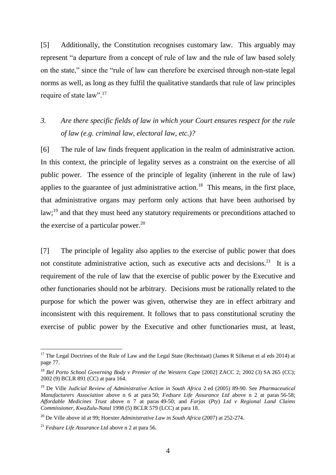[5] Additionally, the Constitution recognises customary law. This arguably may represent "a departure from a concept of rule of law and the rule of law based solely on the state," since the "rule of law can therefore be exercised through non-state legal norms as well, as long as they fulfil the qualitative standards that rule of law principles require of state law".<sup>17</sup>

## *3. Are there specific fields of law in which your Court ensures respect for the rule of law (e.g. criminal law, electoral law, etc.)?*

[6] The rule of law finds frequent application in the realm of administrative action. In this context, the principle of legality serves as a constraint on the exercise of all public power. The essence of the principle of legality (inherent in the rule of law) applies to the guarantee of just administrative action.<sup>18</sup> This means, in the first place, that administrative organs may perform only actions that have been authorised by  $law$ ;<sup>19</sup> and that they must heed any statutory requirements or preconditions attached to the exercise of a particular power. $^{20}$ 

[7] The principle of legality also applies to the exercise of public power that does not constitute administrative action, such as executive acts and decisions.<sup>21</sup> It is a requirement of the rule of law that the exercise of public power by the Executive and other functionaries should not be arbitrary. Decisions must be rationally related to the purpose for which the power was given, otherwise they are in effect arbitrary and inconsistent with this requirement. It follows that to pass constitutional scrutiny the exercise of public power by the Executive and other functionaries must, at least,

<sup>&</sup>lt;sup>17</sup> The Legal Doctrines of the Rule of Law and the Legal State (Rechtstaat) (James R Silkenat et al eds 2014) at page 77.

<sup>18</sup> *Bel Porto School Governing Body v Premier of the Western Cape* [2002] ZACC 2; 2002 (3) SA 265 (CC); 2002 (9) BCLR 891 (CC) at para 164.

<sup>19</sup> De Ville *Judicial Review of Administrative Action in South Africa* 2 ed (2005) 89-90. See *Pharmaceutical Manufacturers Association* above n 6 at para 50; *Fedsure Life Assurance Ltd* above n 2 at paras 56-58; *Affordable Medicines Trust* above n 7 at paras 49-50; and *Farjas* (*Pty*) *Ltd v Regional Land Claims Commissioner*, *KwaZulu-Natal* 1998 (5) BCLR 579 (LCC) at para 18.

<sup>20</sup> De Ville above id at 99; Hoexter *Administrative Law in South Africa* (2007) at 252-274.

<sup>21</sup> *Fedsure Life Assurance Ltd* above n 2 at para 56.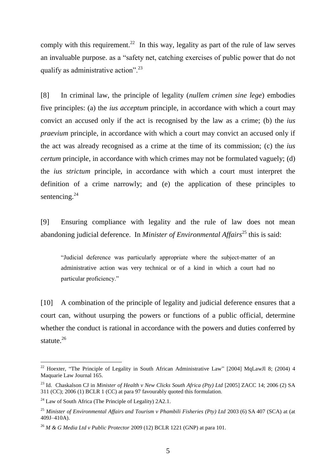comply with this requirement.<sup>22</sup> In this way, legality as part of the rule of law serves an invaluable purpose. as a "safety net, catching exercises of public power that do not qualify as administrative action".<sup>23</sup>

[8] In criminal law, the principle of legality (*nullem crimen sine lege*) embodies five principles: (a) the *ius acceptum* principle, in accordance with which a court may convict an accused only if the act is recognised by the law as a crime; (b) the *ius praevium* principle, in accordance with which a court may convict an accused only if the act was already recognised as a crime at the time of its commission; (c) the *ius certum* principle, in accordance with which crimes may not be formulated vaguely; (d) the *ius strictum* principle, in accordance with which a court must interpret the definition of a crime narrowly; and (e) the application of these principles to sentencing.<sup>24</sup>

[9] Ensuring compliance with legality and the rule of law does not mean abandoning judicial deference. In *Minister of Environmental Affairs*<sup>25</sup> this is said:

"Judicial deference was particularly appropriate where the subject-matter of an administrative action was very technical or of a kind in which a court had no particular proficiency."

[10] A combination of the principle of legality and judicial deference ensures that a court can, without usurping the powers or functions of a public official, determine whether the conduct is rational in accordance with the powers and duties conferred by statute.<sup>26</sup>

<sup>&</sup>lt;sup>22</sup> Hoexter, "The Principle of Legality in South African Administrative Law" [2004] MqLawJl 8; (2004) 4 Maquarie Law Journal 165.

<sup>&</sup>lt;sup>23</sup> Id. Chaskalson CJ in *Minister of Health v New Clicks South Africa (Pty) Ltd* [2005] ZACC 14; 2006 (2) SA 311 (CC); 2006 (1) BCLR 1 (CC) at para 97 favourably quoted this formulation.

<sup>&</sup>lt;sup>24</sup> Law of South Africa (The Principle of Legality)  $2A2.1$ .

<sup>25</sup> *Minister of Environmental Affairs and Tourism v Phambili Fisheries (Pty) Ltd* 2003 (6) SA 407 (SCA) at (at 409J–410A).

<sup>26</sup> *M & G Media Ltd v Public Protector* 2009 (12) BCLR 1221 (GNP) at para 101.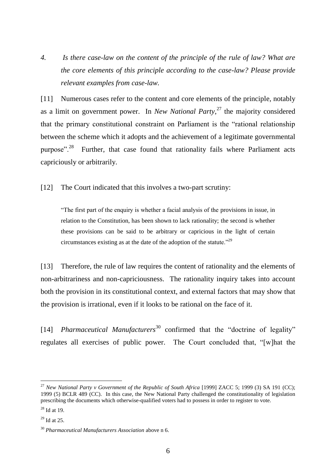*4. Is there case-law on the content of the principle of the rule of law? What are the core elements of this principle according to the case-law? Please provide relevant examples from case-law.*

[11] Numerous cases refer to the content and core elements of the principle, notably as a limit on government power. In *New National Party*, <sup>27</sup> the majority considered that the primary constitutional constraint on Parliament is the "rational relationship between the scheme which it adopts and the achievement of a legitimate governmental purpose".<sup>28</sup> Further, that case found that rationality fails where Parliament acts capriciously or arbitrarily.

[12] The Court indicated that this involves a two-part scrutiny:

"The first part of the enquiry is whether a facial analysis of the provisions in issue, in relation to the Constitution, has been shown to lack rationality; the second is whether these provisions can be said to be arbitrary or capricious in the light of certain circumstances existing as at the date of the adoption of the statute."<sup>29</sup>

[13] Therefore, the rule of law requires the content of rationality and the elements of non-arbitrariness and non-capriciousness. The rationality inquiry takes into account both the provision in its constitutional context, and external factors that may show that the provision is irrational, even if it looks to be rational on the face of it.

[14] *Pharmaceutical Manufacturers*<sup>30</sup> confirmed that the "doctrine of legality" regulates all exercises of public power. The Court concluded that, "[w]hat the

<sup>27</sup> *New National Party v Government of the Republic of South Africa* [1999] ZACC 5; 1999 (3) SA 191 (CC); 1999 (5) BCLR 489 (CC). In this case, the New National Party challenged the constitutionality of legislation prescribing the documents which otherwise-qualified voters had to possess in order to register to vote.

 $28$  Id at 19.

 $29$  Id at 25.

<sup>30</sup> *Pharmaceutical Manufacturers Association* above n 6.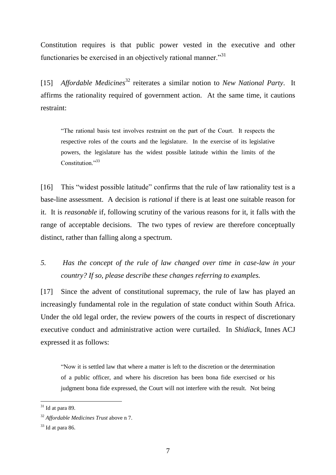Constitution requires is that public power vested in the executive and other functionaries be exercised in an objectively rational manner."<sup>31</sup>

[15] *Affordable Medicines*<sup>32</sup> reiterates a similar notion to *New National Party*. It affirms the rationality required of government action. At the same time, it cautions restraint:

"The rational basis test involves restraint on the part of the Court. It respects the respective roles of the courts and the legislature. In the exercise of its legislative powers, the legislature has the widest possible latitude within the limits of the Constitution."33

[16] This "widest possible latitude" confirms that the rule of law rationality test is a base-line assessment. A decision is *rational* if there is at least one suitable reason for it. It is *reasonable* if, following scrutiny of the various reasons for it, it falls with the range of acceptable decisions. The two types of review are therefore conceptually distinct, rather than falling along a spectrum.

*5. Has the concept of the rule of law changed over time in case-law in your country? If so, please describe these changes referring to examples.*

[17] Since the advent of constitutional supremacy, the rule of law has played an increasingly fundamental role in the regulation of state conduct within South Africa. Under the old legal order, the review powers of the courts in respect of discretionary executive conduct and administrative action were curtailed. In *Shidiack*, Innes ACJ expressed it as follows:

"Now it is settled law that where a matter is left to the discretion or the determination of a public officer, and where his discretion has been bona fide exercised or his judgment bona fide expressed, the Court will not interfere with the result. Not being

 $31$  Id at para 89.

<sup>32</sup> *Affordable Medicines Trust* above n 7.

 $33$  Id at para 86.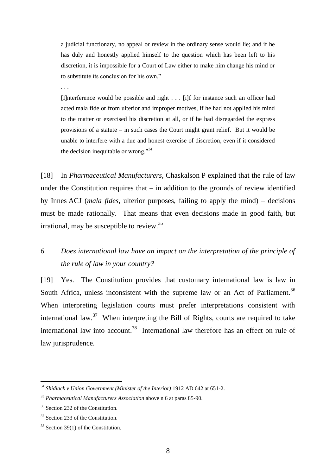a judicial functionary, no appeal or review in the ordinary sense would lie; and if he has duly and honestly applied himself to the question which has been left to his discretion, it is impossible for a Court of Law either to make him change his mind or to substitute its conclusion for his own."

. . .

[I]nterference would be possible and right . . . [i]f for instance such an officer had acted mala fide or from ulterior and improper motives, if he had not applied his mind to the matter or exercised his discretion at all, or if he had disregarded the express provisions of a statute – in such cases the Court might grant relief. But it would be unable to interfere with a due and honest exercise of discretion, even if it considered the decision inequitable or wrong."<sup>34</sup>

[18] In *Pharmaceutical Manufacturers*, Chaskalson P explained that the rule of law under the Constitution requires that  $-$  in addition to the grounds of review identified by Innes ACJ (*mala fides*, ulterior purposes, failing to apply the mind) – decisions must be made rationally. That means that even decisions made in good faith, but irrational, may be susceptible to review.<sup>35</sup>

## *6. Does international law have an impact on the interpretation of the principle of the rule of law in your country?*

[19] Yes. The Constitution provides that customary international law is law in South Africa, unless inconsistent with the supreme law or an Act of Parliament.<sup>36</sup> When interpreting legislation courts must prefer interpretations consistent with international law.<sup>37</sup> When interpreting the Bill of Rights, courts are required to take international law into account.<sup>38</sup> International law therefore has an effect on rule of law jurisprudence.

<sup>&</sup>lt;sup>34</sup> Shidiack v Union Government (Minister of the Interior) 1912 AD 642 at 651-2.

<sup>35</sup> *Pharmaceutical Manufacturers Association* above n 6 at paras 85-90.

<sup>&</sup>lt;sup>36</sup> Section 232 of the Constitution.

<sup>&</sup>lt;sup>37</sup> Section 233 of the Constitution.

 $38$  Section 39(1) of the Constitution.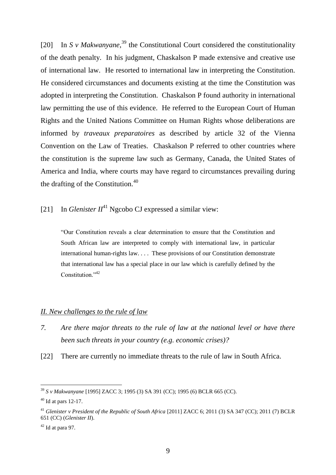[20] In *S v Makwanyane*,<sup>39</sup> the Constitutional Court considered the constitutionality of the death penalty. In his judgment, Chaskalson P made extensive and creative use of international law. He resorted to international law in interpreting the Constitution. He considered circumstances and documents existing at the time the Constitution was adopted in interpreting the Constitution. Chaskalson P found authority in international law permitting the use of this evidence. He referred to the European Court of Human Rights and the United Nations Committee on Human Rights whose deliberations are informed by *traveaux preparatoires* as described by article 32 of the Vienna Convention on the Law of Treaties. Chaskalson P referred to other countries where the constitution is the supreme law such as Germany, Canada, the United States of America and India, where courts may have regard to circumstances prevailing during the drafting of the Constitution.<sup>40</sup>

[21] In *Glenister II*<sup>41</sup> Ngcobo CJ expressed a similar view:

"Our Constitution reveals a clear determination to ensure that the Constitution and South African law are interpreted to comply with international law, in particular international human-rights law. . . . These provisions of our Constitution demonstrate that international law has a special place in our law which is carefully defined by the Constitution."<sup>42</sup>

### *II. New challenges to the rule of law*

- *7. Are there major threats to the rule of law at the national level or have there been such threats in your country (e.g. economic crises)?*
- [22] There are currently no immediate threats to the rule of law in South Africa.

<sup>39</sup> *S v Makwanyane* [1995] ZACC 3; 1995 (3) SA 391 (CC); 1995 (6) BCLR 665 (CC).

 $40$  Id at pars 12-17.

<sup>41</sup> *Glenister v President of the Republic of South Africa* [2011] ZACC 6; 2011 (3) SA 347 (CC); 2011 (7) BCLR 651 (CC) (*Glenister II*).

 $42$  Id at para 97.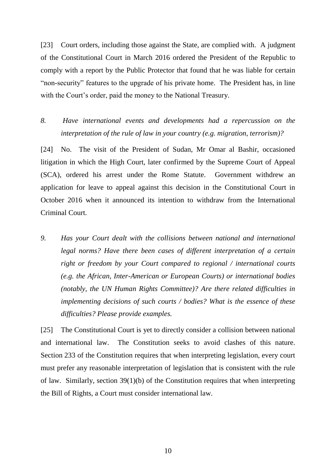[23] Court orders, including those against the State, are complied with. A judgment of the Constitutional Court in March 2016 ordered the President of the Republic to comply with a report by the Public Protector that found that he was liable for certain "non-security" features to the upgrade of his private home. The President has, in line with the Court's order, paid the money to the National Treasury.

## *8. Have international events and developments had a repercussion on the interpretation of the rule of law in your country (e.g. migration, terrorism)?*

[24] No. The visit of the President of Sudan, Mr Omar al Bashir, occasioned litigation in which the High Court, later confirmed by the Supreme Court of Appeal (SCA), ordered his arrest under the Rome Statute. Government withdrew an application for leave to appeal against this decision in the Constitutional Court in October 2016 when it announced its intention to withdraw from the International Criminal Court.

*9. Has your Court dealt with the collisions between national and international legal norms? Have there been cases of different interpretation of a certain right or freedom by your Court compared to regional / international courts (e.g. the African, Inter-American or European Courts) or international bodies (notably, the UN Human Rights Committee)? Are there related difficulties in implementing decisions of such courts / bodies? What is the essence of these difficulties? Please provide examples.* 

[25] The Constitutional Court is yet to directly consider a collision between national and international law. The Constitution seeks to avoid clashes of this nature. Section 233 of the Constitution requires that when interpreting legislation, every court must prefer any reasonable interpretation of legislation that is consistent with the rule of law. Similarly, section 39(1)(b) of the Constitution requires that when interpreting the Bill of Rights, a Court must consider international law.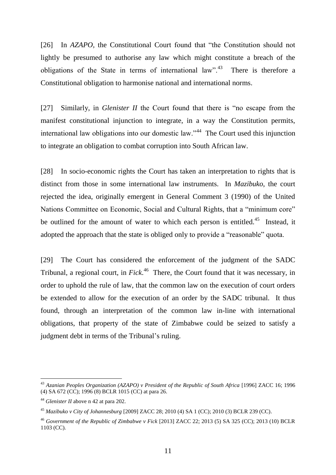[26] In *AZAPO*, the Constitutional Court found that "the Constitution should not lightly be presumed to authorise any law which might constitute a breach of the obligations of the State in terms of international law". $43$  There is therefore a Constitutional obligation to harmonise national and international norms.

[27] Similarly, in *Glenister II* the Court found that there is "no escape from the manifest constitutional injunction to integrate, in a way the Constitution permits, international law obligations into our domestic law."<sup>44</sup> The Court used this injunction to integrate an obligation to combat corruption into South African law.

[28] In socio-economic rights the Court has taken an interpretation to rights that is distinct from those in some international law instruments. In *Mazibuko*, the court rejected the idea, originally emergent in General Comment 3 (1990) of the United Nations Committee on Economic, Social and Cultural Rights, that a "minimum core" be outlined for the amount of water to which each person is entitled.<sup>45</sup> Instead, it adopted the approach that the state is obliged only to provide a "reasonable" quota.

[29] The Court has considered the enforcement of the judgment of the SADC Tribunal, a regional court, in *Fick*. 46 There, the Court found that it was necessary, in order to uphold the rule of law, that the common law on the execution of court orders be extended to allow for the execution of an order by the SADC tribunal. It thus found, through an interpretation of the common law in-line with international obligations, that property of the state of Zimbabwe could be seized to satisfy a judgment debt in terms of the Tribunal's ruling.

<sup>&</sup>lt;sup>43</sup> Azanian Peoples Organization (AZAPO) v President of the Republic of South Africa [1996] ZACC 16; 1996 (4) SA 672 (CC); 1996 (8) BCLR 1015 (CC) at para 26.

<sup>44</sup> *Glenister II* above n 42 at para 202.

<sup>45</sup> *Mazibuko v City of Johannesburg* [2009] ZACC 28; 2010 (4) SA 1 (CC); 2010 (3) BCLR 239 (CC).

<sup>46</sup> *Government of the Republic of Zimbabwe v Fick* [2013] ZACC 22; 2013 (5) SA 325 (CC); 2013 (10) BCLR 1103 (CC).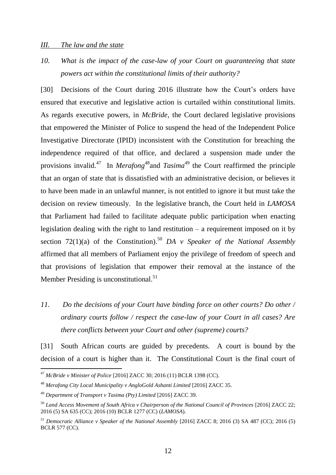#### *III. The law and the state*

*10. What is the impact of the case-law of your Court on guaranteeing that state powers act within the constitutional limits of their authority?*

[30] Decisions of the Court during 2016 illustrate how the Court's orders have ensured that executive and legislative action is curtailed within constitutional limits. As regards executive powers, in *McBride*, the Court declared legislative provisions that empowered the Minister of Police to suspend the head of the Independent Police Investigative Directorate (IPID) inconsistent with the Constitution for breaching the independence required of that office, and declared a suspension made under the provisions invalid.<sup>47</sup> In *Merafong*<sup>48</sup> and *Tasima*<sup>49</sup> the Court reaffirmed the principle that an organ of state that is dissatisfied with an administrative decision, or believes it to have been made in an unlawful manner, is not entitled to ignore it but must take the decision on review timeously. In the legislative branch, the Court held in *LAMOSA* that Parliament had failed to facilitate adequate public participation when enacting legislation dealing with the right to land restitution – a requirement imposed on it by section 72(1)(a) of the Constitution). <sup>50</sup> *DA v Speaker of the National Assembly* affirmed that all members of Parliament enjoy the privilege of freedom of speech and that provisions of legislation that empower their removal at the instance of the Member Presiding is unconstitutional.<sup>51</sup>

*11. Do the decisions of your Court have binding force on other courts? Do other / ordinary courts follow / respect the case-law of your Court in all cases? Are there conflicts between your Court and other (supreme) courts?* 

[31] South African courts are guided by precedents. A court is bound by the decision of a court is higher than it. The Constitutional Court is the final court of

<sup>47</sup> *McBride v Minister of Police* [2016] ZACC 30; 2016 (11) BCLR 1398 (CC).

<sup>48</sup> *Merafong City Local Municipality v AngloGold Ashanti Limited* [2016] ZACC 35.

<sup>49</sup> *Department of Transport v Tasima (Pty) Limited* [2016] ZACC 39.

<sup>50</sup> *Land Access Movement of South Africa v Chairperson of the National Council of Provinces* [2016] ZACC 22; 2016 (5) SA 635 (CC); 2016 (10) BCLR 1277 (CC) (*LAMOSA*).

<sup>&</sup>lt;sup>51</sup> Democratic Alliance v Speaker of the National Assembly [2016] ZACC 8; 2016 (3) SA 487 (CC); 2016 (5) BCLR 577 (CC).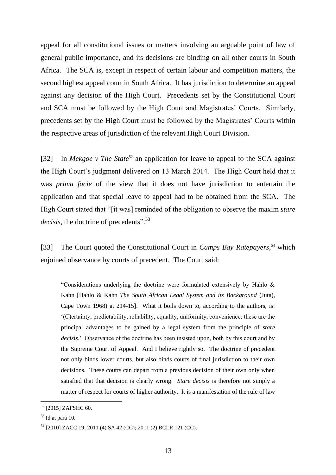appeal for all constitutional issues or matters involving an arguable point of law of general public importance, and its decisions are binding on all other courts in South Africa. The SCA is, except in respect of certain labour and competition matters, the second highest appeal court in South Africa. It has jurisdiction to determine an appeal against any decision of the High Court. Precedents set by the Constitutional Court and SCA must be followed by the High Court and Magistrates' Courts. Similarly, precedents set by the High Court must be followed by the Magistrates' Courts within the respective areas of jurisdiction of the relevant High Court Division.

[32] In *Mekgoe v The State*<sup>52</sup> an application for leave to appeal to the SCA against the High Court's judgment delivered on 13 March 2014. The High Court held that it was *prima facie* of the view that it does not have jurisdiction to entertain the application and that special leave to appeal had to be obtained from the SCA. The High Court stated that "[it was] reminded of the obligation to observe the maxim *stare*  decisis, the doctrine of precedents".<sup>53</sup>

[33] The Court quoted the Constitutional Court in *Camps Bay Ratepayers*, <sup>54</sup> which enjoined observance by courts of precedent. The Court said:

"Considerations underlying the doctrine were formulated extensively by Hahlo & Kahn [Hahlo & Kahn *The South African Legal System and its Background* (Juta), Cape Town 1968) at 214-15]. What it boils down to, according to the authors, is: '(C)ertainty, predictability, reliability, equality, uniformity, convenience: these are the principal advantages to be gained by a legal system from the principle of *stare decisis*.' Observance of the doctrine has been insisted upon, both by this court and by the Supreme Court of Appeal. And I believe rightly so. The doctrine of precedent not only binds lower courts, but also binds courts of final jurisdiction to their own decisions. These courts can depart from a previous decision of their own only when satisfied that that decision is clearly wrong. *Stare decisis* is therefore not simply a matter of respect for courts of higher authority. It is a manifestation of the rule of law

<sup>&</sup>lt;sup>52</sup> [2015] ZAFSHC 60.

 $53$  Id at para 10.

<sup>54</sup> [2010] ZACC 19; 2011 (4) SA 42 (CC); 2011 (2) BCLR 121 (CC).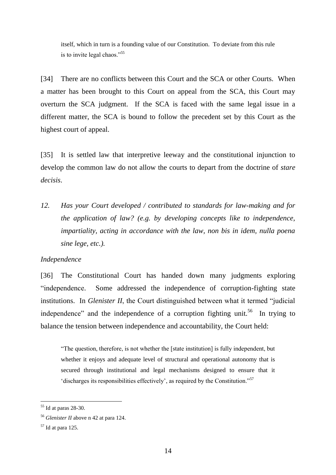itself, which in turn is a founding value of our Constitution. To deviate from this rule is to invite legal chaos."<sup>55</sup>

[34] There are no conflicts between this Court and the SCA or other Courts. When a matter has been brought to this Court on appeal from the SCA, this Court may overturn the SCA judgment. If the SCA is faced with the same legal issue in a different matter, the SCA is bound to follow the precedent set by this Court as the highest court of appeal.

[35] It is settled law that interpretive leeway and the constitutional injunction to develop the common law do not allow the courts to depart from the doctrine of *stare decisis*.

*12. Has your Court developed / contributed to standards for law-making and for the application of law? (e.g. by developing concepts like to independence, impartiality, acting in accordance with the law, non bis in idem, nulla poena sine lege, etc.).* 

### *Independence*

[36] The Constitutional Court has handed down many judgments exploring "independence. Some addressed the independence of corruption-fighting state institutions. In *Glenister II*, the Court distinguished between what it termed "judicial independence" and the independence of a corruption fighting unit.<sup>56</sup> In trying to balance the tension between independence and accountability, the Court held:

"The question, therefore, is not whether the [state institution] is fully independent, but whether it enjoys and adequate level of structural and operational autonomy that is secured through institutional and legal mechanisms designed to ensure that it 'discharges its responsibilities effectively', as required by the Constitution."<sup>57</sup>

<sup>&</sup>lt;sup>55</sup> Id at paras 28-30.

<sup>56</sup> *Glenister II* above n 42 at para 124.

 $57$  Id at para 125.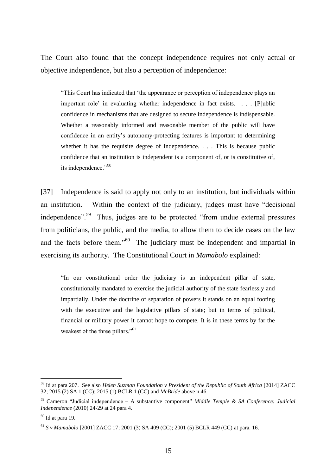The Court also found that the concept independence requires not only actual or objective independence, but also a perception of independence:

"This Court has indicated that 'the appearance or perception of independence plays an important role' in evaluating whether independence in fact exists. . . . [P]ublic confidence in mechanisms that are designed to secure independence is indispensable. Whether a reasonably informed and reasonable member of the public will have confidence in an entity's autonomy-protecting features is important to determining whether it has the requisite degree of independence. . . . This is because public confidence that an institution is independent is a component of, or is constitutive of, its independence."<sup>58</sup>

[37] Independence is said to apply not only to an institution, but individuals within an institution. Within the context of the judiciary, judges must have "decisional independence".<sup>59</sup> Thus, judges are to be protected "from undue external pressures from politicians, the public, and the media, to allow them to decide cases on the law and the facts before them."<sup>60</sup> The judiciary must be independent and impartial in exercising its authority. The Constitutional Court in *Mamabolo* explained:

"In our constitutional order the judiciary is an independent pillar of state, constitutionally mandated to exercise the judicial authority of the state fearlessly and impartially. Under the doctrine of separation of powers it stands on an equal footing with the executive and the legislative pillars of state; but in terms of political, financial or military power it cannot hope to compete. It is in these terms by far the weakest of the three pillars."<sup>61</sup>

<sup>58</sup> Id at para 207. See also *Helen Suzman Foundation v President of the Republic of South Africa* [2014] ZACC 32; 2015 (2) SA 1 (CC); 2015 (1) BCLR 1 (CC) and *McBride* above n 46.

<sup>59</sup> Cameron "Judicial independence – A substantive component" *Middle Temple & SA Conference: Judicial Independence* (2010) 24-29 at 24 para 4.

 $60$  Id at para 19.

<sup>61</sup> *S v Mamabolo* [2001] ZACC 17; 2001 (3) SA 409 (CC); 2001 (5) BCLR 449 (CC) at para. 16.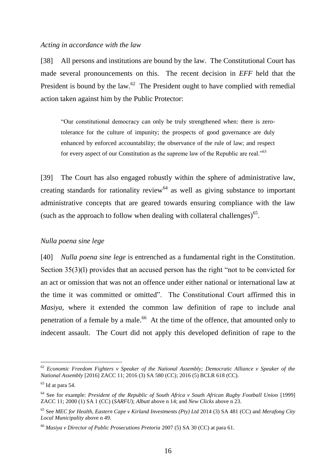#### *Acting in accordance with the law*

[38] All persons and institutions are bound by the law. The Constitutional Court has made several pronouncements on this. The recent decision in *EFF* held that the President is bound by the law. $62$  The President ought to have complied with remedial action taken against him by the Public Protector:

"Our constitutional democracy can only be truly strengthened when: there is zerotolerance for the culture of impunity; the prospects of good governance are duly enhanced by enforced accountability; the observance of the rule of law; and respect for every aspect of our Constitution as the supreme law of the Republic are real."<sup>63</sup>

[39] The Court has also engaged robustly within the sphere of administrative law, creating standards for rationality review<sup>64</sup> as well as giving substance to important administrative concepts that are geared towards ensuring compliance with the law (such as the approach to follow when dealing with collateral challenges) $<sup>65</sup>$ .</sup>

### *Nulla poena sine lege*

[40] *Nulla poena sine lege* is entrenched as a fundamental right in the Constitution. Section 35(3)(l) provides that an accused person has the right "not to be convicted for an act or omission that was not an offence under either national or international law at the time it was committed or omitted". The Constitutional Court affirmed this in *Masiya*, where it extended the common law definition of rape to include anal penetration of a female by a male.<sup>66</sup> At the time of the offence, that amounted only to indecent assault. The Court did not apply this developed definition of rape to the

<sup>62</sup> *Economic Freedom Fighters v Speaker of the National Assembly; Democratic Alliance v Speaker of the National Assembly* [2016] ZACC 11; 2016 (3) SA 580 (CC); 2016 (5) BCLR 618 (CC).

 $63$  Id at para 54.

<sup>&</sup>lt;sup>64</sup> See for example: *President of the Republic of South Africa v South African Rugby Football Union* [1999] ZACC 11; 2000 (1) SA 1 (CC) (*SARFU*); *Albutt* above n 14; and *New Clicks* above n 23.

<sup>65</sup> See *MEC for Health, Eastern Cape v Kirland Investments (Pty) Ltd* 2014 (3) SA 481 (CC) and *Merafong City Local Municipality* above n 49.

<sup>66</sup> *Masiya v Director of Public Prosecutions Pretoria* 2007 (5) SA 30 (CC) at para 61.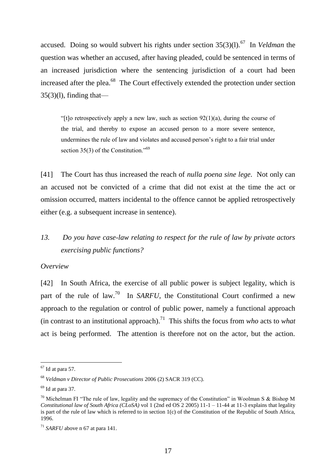accused. Doing so would subvert his rights under section 35(3)(1).<sup>67</sup> In *Veldman* the question was whether an accused, after having pleaded, could be sentenced in terms of an increased jurisdiction where the sentencing jurisdiction of a court had been increased after the plea.<sup>68</sup> The Court effectively extended the protection under section  $35(3)(1)$ , finding that—

"[t]o retrospectively apply a new law, such as section  $92(1)(a)$ , during the course of the trial, and thereby to expose an accused person to a more severe sentence, undermines the rule of law and violates and accused person's right to a fair trial under section  $35(3)$  of the Constitution."<sup>69</sup>

[41] The Court has thus increased the reach of *nulla poena sine lege*. Not only can an accused not be convicted of a crime that did not exist at the time the act or omission occurred, matters incidental to the offence cannot be applied retrospectively either (e.g. a subsequent increase in sentence).

## *13. Do you have case-law relating to respect for the rule of law by private actors exercising public functions?*

#### *Overview*

[42] In South Africa, the exercise of all public power is subject legality, which is part of the rule of law.<sup>70</sup> In *SARFU*, the Constitutional Court confirmed a new approach to the regulation or control of public power, namely a functional approach (in contrast to an institutional approach).<sup>71</sup> This shifts the focus from *who* acts to *what* act is being performed. The attention is therefore not on the actor, but the action.

 $67$  Id at para 57.

<sup>68</sup> *Veldman v Director of Public Prosecutions* 2006 (2) SACR 319 (CC).

 $69$  Id at para 37.

<sup>&</sup>lt;sup>70</sup> Michelman FI "The rule of law, legality and the supremacy of the Constitution" in Woolman S & Bishop M *Constitutional law of South Africa (CLoSA)* vol 1 (2nd ed OS 2 2005) 11-1 – 11-44 at 11-3 explains that legality is part of the rule of law which is referred to in section 1(c) of the Constitution of the Republic of South Africa, 1996.

 $11$  *SARFU* above n 67 at para 141.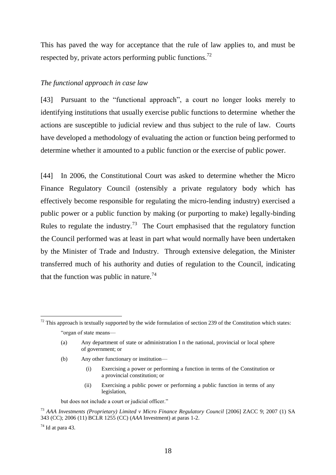This has paved the way for acceptance that the rule of law applies to, and must be respected by, private actors performing public functions.<sup>72</sup>

### *The functional approach in case law*

[43] Pursuant to the "functional approach", a court no longer looks merely to identifying institutions that usually exercise public functions to determine whether the actions are susceptible to judicial review and thus subject to the rule of law. Courts have developed a methodology of evaluating the action or function being performed to determine whether it amounted to a public function or the exercise of public power.

[44] In 2006, the Constitutional Court was asked to determine whether the Micro Finance Regulatory Council (ostensibly a private regulatory body which has effectively become responsible for regulating the micro-lending industry) exercised a public power or a public function by making (or purporting to make) legally-binding Rules to regulate the industry.<sup>73</sup> The Court emphasised that the regulatory function the Council performed was at least in part what would normally have been undertaken by the Minister of Trade and Industry. Through extensive delegation, the Minister transferred much of his authority and duties of regulation to the Council, indicating that the function was public in nature.<sup>74</sup>

- (b) Any other functionary or institution—
	- (i) Exercising a power or performing a function in terms of the Constitution or a provincial constitution; or
	- (ii) Exercising a public power or performing a public function in terms of any legislation,

but does not include a court or judicial officer."

 $72$  This approach is textually supported by the wide formulation of section 239 of the Constitution which states: "organ of state means—

<sup>(</sup>a) Any department of state or administration I n the national, provincial or local sphere of government; or

<sup>&</sup>lt;sup>73</sup> AAA Investments (Proprietary) Limited v Micro Finance Regulatory Council [2006] ZACC 9; 2007 (1) SA 343 (CC); 2006 (11) BCLR 1255 (CC) (*AAA* Investment) at paras 1-2.

 $74$  Id at para 43.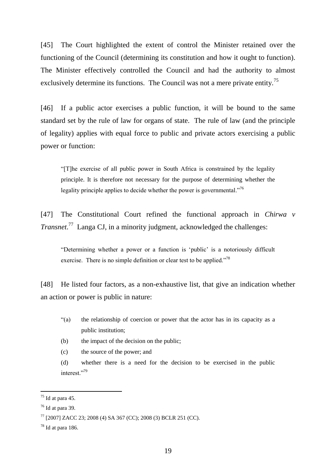[45] The Court highlighted the extent of control the Minister retained over the functioning of the Council (determining its constitution and how it ought to function). The Minister effectively controlled the Council and had the authority to almost exclusively determine its functions. The Council was not a mere private entity.<sup>75</sup>

[46] If a public actor exercises a public function, it will be bound to the same standard set by the rule of law for organs of state. The rule of law (and the principle of legality) applies with equal force to public and private actors exercising a public power or function:

"[T]he exercise of all public power in South Africa is constrained by the legality principle. It is therefore not necessary for the purpose of determining whether the legality principle applies to decide whether the power is governmental."<sup>76</sup>

[47] The Constitutional Court refined the functional approach in *Chirwa v Transnet*. 77 Langa CJ, in a minority judgment, acknowledged the challenges:

"Determining whether a power or a function is 'public' is a notoriously difficult exercise. There is no simple definition or clear test to be applied."<sup>78</sup>

[48] He listed four factors, as a non-exhaustive list, that give an indication whether an action or power is public in nature:

- "(a) the relationship of coercion or power that the actor has in its capacity as a public institution;
- (b) the impact of the decision on the public;

(c) the source of the power; and

(d) whether there is a need for the decision to be exercised in the public interest."79

 $^{75}$  Id at para 45.

 $76$  Id at para 39.

<sup>77</sup> [2007] ZACC 23; 2008 (4) SA 367 (CC); 2008 (3) BCLR 251 (CC).

 $78$  Id at para 186.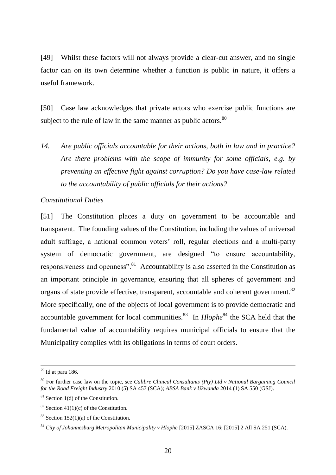[49] Whilst these factors will not always provide a clear-cut answer, and no single factor can on its own determine whether a function is public in nature, it offers a useful framework.

[50] Case law acknowledges that private actors who exercise public functions are subject to the rule of law in the same manner as public actors.<sup>80</sup>

*14. Are public officials accountable for their actions, both in law and in practice? Are there problems with the scope of immunity for some officials, e.g. by preventing an effective fight against corruption? Do you have case-law related to the accountability of public officials for their actions?* 

### *Constitutional Duties*

[51] The Constitution places a duty on government to be accountable and transparent. The founding values of the Constitution, including the values of universal adult suffrage, a national common voters' roll, regular elections and a multi-party system of democratic government, are designed "to ensure accountability, responsiveness and openness".<sup>81</sup> Accountability is also asserted in the Constitution as an important principle in governance, ensuring that all spheres of government and organs of state provide effective, transparent, accountable and coherent government.<sup>82</sup> More specifically, one of the objects of local government is to provide democratic and accountable government for local communities.<sup>83</sup> In *Hlophe*<sup>84</sup> the SCA held that the fundamental value of accountability requires municipal officials to ensure that the Municipality complies with its obligations in terms of court orders.

 $79$  Id at para 186.

<sup>80</sup> For further case law on the topic, see *Calibre Clinical Consultants (Pty) Ltd v National Bargaining Council for the Road Freight Industry* 2010 (5) SA 457 (SCA); *ABSA Bank v Ukwanda* 2014 (1) SA 550 (GSJ).

 $81$  Section 1(d) of the Constitution.

<sup>&</sup>lt;sup>82</sup> Section 41(1)(c) of the Constitution.

 $83$  Section 152(1)(a) of the Constitution.

<sup>84</sup> *City of Johannesburg Metropolitan Municipality v Hlophe* [2015] ZASCA 16; [2015] 2 All SA 251 (SCA).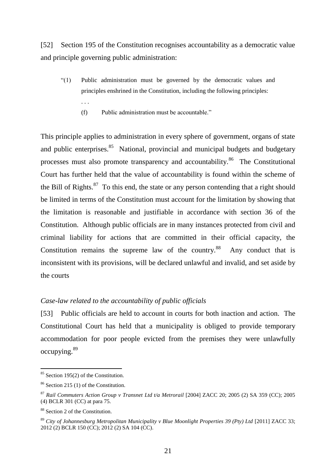[52] Section 195 of the Constitution recognises accountability as a democratic value and principle governing public administration:

- "(1) Public administration must be governed by the democratic values and principles enshrined in the Constitution, including the following principles:
	- (f) Public administration must be accountable."

This principle applies to administration in every sphere of government, organs of state and public enterprises.<sup>85</sup> National, provincial and municipal budgets and budgetary processes must also promote transparency and accountability.<sup>86</sup> The Constitutional Court has further held that the value of accountability is found within the scheme of the Bill of Rights. $87$  To this end, the state or any person contending that a right should be limited in terms of the Constitution must account for the limitation by showing that the limitation is reasonable and justifiable in accordance with section 36 of the Constitution. Although public officials are in many instances protected from civil and criminal liability for actions that are committed in their official capacity, the Constitution remains the supreme law of the country. $88$  Any conduct that is inconsistent with its provisions, will be declared unlawful and invalid, and set aside by the courts

#### *Case-law related to the accountability of public officials*

[53] Public officials are held to account in courts for both inaction and action. The Constitutional Court has held that a municipality is obliged to provide temporary accommodation for poor people evicted from the premises they were unlawfully occupying.<sup>89</sup>

 $\overline{a}$ 

. . .

<sup>&</sup>lt;sup>85</sup> Section 195(2) of the Constitution.

<sup>86</sup> Section 215 (1) of the Constitution.

<sup>87</sup> *Rail Commuters Action Group v Transnet Ltd t/a Metrorail* [2004] ZACC 20; 2005 (2) SA 359 (CC); 2005 (4) BCLR 301 (CC) at para 75.

<sup>88</sup> Section 2 of the Constitution.

<sup>&</sup>lt;sup>89</sup> *City of Johannesburg Metropolitan Municipality v Blue Moonlight Properties 39 (Pty) Ltd [2011] ZACC 33;* 2012 (2) BCLR 150 (CC); 2012 (2) SA 104 (CC).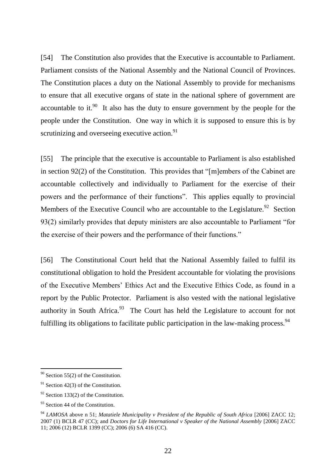[54] The Constitution also provides that the Executive is accountable to Parliament. Parliament consists of the National Assembly and the National Council of Provinces. The Constitution places a duty on the National Assembly to provide for mechanisms to ensure that all executive organs of state in the national sphere of government are accountable to it.<sup>90</sup> It also has the duty to ensure government by the people for the people under the Constitution. One way in which it is supposed to ensure this is by scrutinizing and overseeing executive action. $91$ 

[55] The principle that the executive is accountable to Parliament is also established in section 92(2) of the Constitution. This provides that "[m]embers of the Cabinet are accountable collectively and individually to Parliament for the exercise of their powers and the performance of their functions". This applies equally to provincial Members of the Executive Council who are accountable to the Legislature.<sup>92</sup> Section 93(2) similarly provides that deputy ministers are also accountable to Parliament "for the exercise of their powers and the performance of their functions."

[56] The Constitutional Court held that the National Assembly failed to fulfil its constitutional obligation to hold the President accountable for violating the provisions of the Executive Members' Ethics Act and the Executive Ethics Code, as found in a report by the Public Protector. Parliament is also vested with the national legislative authority in South Africa. $93$  The Court has held the Legislature to account for not fulfilling its obligations to facilitate public participation in the law-making process.<sup>94</sup>

 $90$  Section 55(2) of the Constitution.

 $91$  Section 42(3) of the Constitution.

 $92$  Section 133(2) of the Constitution.

<sup>&</sup>lt;sup>93</sup> Section 44 of the Constitution.

<sup>94</sup> *LAMOSA* above n 51; *Matatiele Municipality v President of the Republic of South Africa* [2006] ZACC 12; 2007 (1) BCLR 47 (CC); and *Doctors for Life International v Speaker of the National Assembly* [2006] ZACC 11; 2006 (12) BCLR 1399 (CC); 2006 (6) SA 416 (CC).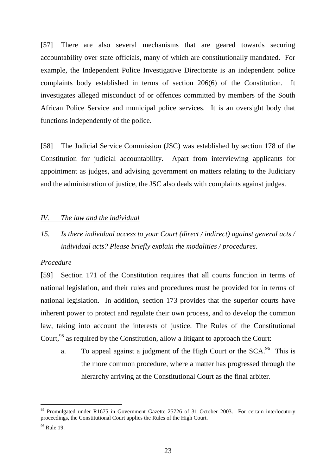[57] There are also several mechanisms that are geared towards securing accountability over state officials, many of which are constitutionally mandated. For example, the Independent Police Investigative Directorate is an independent police complaints body established in terms of section 206(6) of the Constitution. It investigates alleged misconduct of or offences committed by members of the South African Police Service and municipal police services. It is an oversight body that functions independently of the police.

[58] The Judicial Service Commission (JSC) was established by section 178 of the Constitution for judicial accountability. Apart from interviewing applicants for appointment as judges, and advising government on matters relating to the Judiciary and the administration of justice, the JSC also deals with complaints against judges.

#### *IV. The law and the individual*

*15. Is there individual access to your Court (direct / indirect) against general acts / individual acts? Please briefly explain the modalities / procedures.*

#### *Procedure*

[59] Section 171 of the Constitution requires that all courts function in terms of national legislation, and their rules and procedures must be provided for in terms of national legislation. In addition, section 173 provides that the superior courts have inherent power to protect and regulate their own process, and to develop the common law, taking into account the interests of justice. The Rules of the Constitutional Court,<sup>95</sup> as required by the Constitution, allow a litigant to approach the Court:

a. To appeal against a judgment of the High Court or the  $SCA$ <sup>96</sup>. This is the more common procedure, where a matter has progressed through the hierarchy arriving at the Constitutional Court as the final arbiter.

 $95$  Promulgated under R1675 in Government Gazette 25726 of 31 October 2003. For certain interlocutory proceedings, the Constitutional Court applies the Rules of the High Court.

 $96$  Rule 19.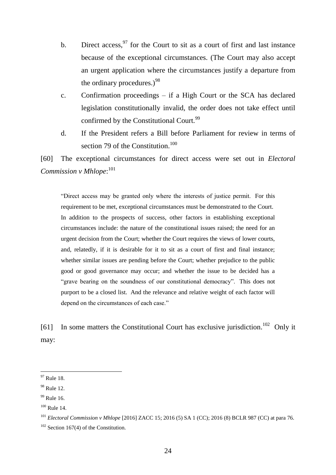- b. Direct access,  $97$  for the Court to sit as a court of first and last instance because of the exceptional circumstances. (The Court may also accept an urgent application where the circumstances justify a departure from the ordinary procedures. $9^{98}$
- c. Confirmation proceedings if a High Court or the SCA has declared legislation constitutionally invalid, the order does not take effect until confirmed by the Constitutional Court.  $99$
- d. If the President refers a Bill before Parliament for review in terms of section 79 of the Constitution.<sup>100</sup>

[60] The exceptional circumstances for direct access were set out in *Electoral*  Commission v Mhlope:<sup>101</sup>

"Direct access may be granted only where the interests of justice permit. For this requirement to be met, exceptional circumstances must be demonstrated to the Court. In addition to the prospects of success, other factors in establishing exceptional circumstances include: the nature of the constitutional issues raised; the need for an urgent decision from the Court; whether the Court requires the views of lower courts, and, relatedly, if it is desirable for it to sit as a court of first and final instance; whether similar issues are pending before the Court; whether prejudice to the public good or good governance may occur; and whether the issue to be decided has a "grave bearing on the soundness of our constitutional democracy". This does not purport to be a closed list. And the relevance and relative weight of each factor will depend on the circumstances of each case."

[61] In some matters the Constitutional Court has exclusive jurisdiction.<sup>102</sup> Only it may:

 $97$  Rule 18.

 $98$  Rule 12.

<sup>&</sup>lt;sup>99</sup> Rule 16.

 $100$  Rule 14.

<sup>101</sup> *Electoral Commission v Mhlope* [2016] ZACC 15; 2016 (5) SA 1 (CC); 2016 (8) BCLR 987 (CC) at para 76.

 $102$  Section 167(4) of the Constitution.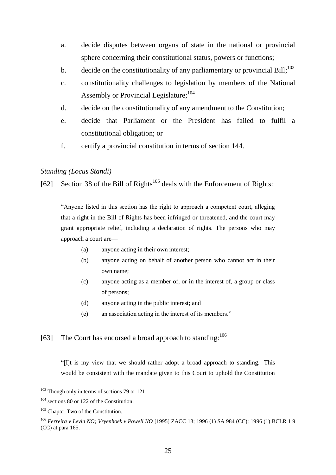- a. decide disputes between organs of state in the national or provincial sphere concerning their constitutional status, powers or functions;
- b. decide on the constitutionality of any parliamentary or provincial Bill;  $^{103}$
- c. constitutionality challenges to legislation by members of the National Assembly or Provincial Legislature:<sup>104</sup>
- d. decide on the constitutionality of any amendment to the Constitution;
- e. decide that Parliament or the President has failed to fulfil a constitutional obligation; or
- f. certify a provincial constitution in terms of section 144.

### *Standing (Locus Standi)*

[62] Section 38 of the Bill of Rights<sup>105</sup> deals with the Enforcement of Rights:

"Anyone listed in this section has the right to approach a competent court, alleging that a right in the Bill of Rights has been infringed or threatened, and the court may grant appropriate relief, including a declaration of rights. The persons who may approach a court are—

- (a) anyone acting in their own interest;
- (b) anyone acting on behalf of another person who cannot act in their own name;
- (c) anyone acting as a member of, or in the interest of, a group or class of persons;
- (d) anyone acting in the public interest; and
- (e) an association acting in the interest of its members."

### [63] The Court has endorsed a broad approach to standing:  $106$

"[I]t is my view that we should rather adopt a broad approach to standing. This would be consistent with the mandate given to this Court to uphold the Constitution

<sup>&</sup>lt;sup>103</sup> Though only in terms of sections 79 or 121.

<sup>&</sup>lt;sup>104</sup> sections 80 or 122 of the Constitution.

<sup>&</sup>lt;sup>105</sup> Chapter Two of the Constitution.

<sup>106</sup> *Ferreira v Levin NO; Vryenhoek v Powell NO* [1995] ZACC 13; 1996 (1) SA 984 (CC); 1996 (1) BCLR 1 9 (CC) at para 165.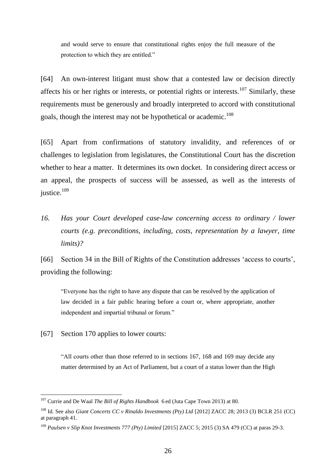and would serve to ensure that constitutional rights enjoy the full measure of the protection to which they are entitled."

[64] An own-interest litigant must show that a contested law or decision directly affects his or her rights or interests, or potential rights or interests.<sup>107</sup> Similarly, these requirements must be generously and broadly interpreted to accord with constitutional goals, though the interest may not be hypothetical or academic.<sup>108</sup>

[65] Apart from confirmations of statutory invalidity, and references of or challenges to legislation from legislatures, the Constitutional Court has the discretion whether to hear a matter. It determines its own docket. In considering direct access or an appeal, the prospects of success will be assessed, as well as the interests of justice.<sup>109</sup>

*16. Has your Court developed case-law concerning access to ordinary / lower courts (e.g. preconditions, including, costs, representation by a lawyer, time limits)?*

[66] Section 34 in the Bill of Rights of the Constitution addresses 'access to courts', providing the following:

"Everyone has the right to have any dispute that can be resolved by the application of law decided in a fair public hearing before a court or, where appropriate, another independent and impartial tribunal or forum."

[67] Section 170 applies to lower courts:

 $\overline{a}$ 

"All courts other than those referred to in sections 167, 168 and 169 may decide any matter determined by an Act of Parliament, but a court of a status lower than the High

<sup>107</sup> Currie and De Waal *The Bill of Rights Handbook* 6 ed (Juta Cape Town 2013) at 80.

<sup>108</sup> Id. See also *Giant Concerts CC v Rinaldo Investments (Pty) Ltd* [2012] ZACC 28; 2013 (3) BCLR 251 (CC) at paragraph 41.

<sup>109</sup> *Paulsen v Slip Knot Investments 777 (Pty) Limited* [2015] ZACC 5; 2015 (3) SA 479 (CC) at paras 29-3.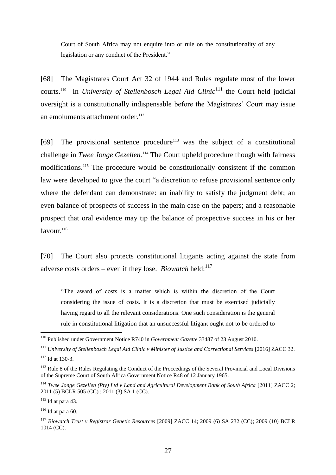Court of South Africa may not enquire into or rule on the constitutionality of any legislation or any conduct of the President."

[68] The Magistrates Court Act 32 of 1944 and Rules regulate most of the lower courts.<sup>110</sup> In *University of Stellenbosch Legal Aid Clinic*<sup>111</sup> the Court held judicial oversight is a constitutionally indispensable before the Magistrates' Court may issue an emoluments attachment order.<sup>112</sup>

 $[69]$  The provisional sentence procedure<sup>113</sup> was the subject of a constitutional challenge in *Twee Jonge Gezellen.* <sup>114</sup> The Court upheld procedure though with fairness modifications. <sup>115</sup> The procedure would be constitutionally consistent if the common law were developed to give the court "a discretion to refuse provisional sentence only where the defendant can demonstrate: an inability to satisfy the judgment debt; an even balance of prospects of success in the main case on the papers; and a reasonable prospect that oral evidence may tip the balance of prospective success in his or her favour.<sup>116</sup>

[70] The Court also protects constitutional litigants acting against the state from adverse costs orders – even if they lose. *Biowatch* held:<sup>117</sup>

"The award of costs is a matter which is within the discretion of the Court considering the issue of costs. It is a discretion that must be exercised judicially having regard to all the relevant considerations. One such consideration is the general rule in constitutional litigation that an unsuccessful litigant ought not to be ordered to

<sup>110</sup> Published under Government Notice R740 in *Government Gazette* 33487 of 23 August 2010.

<sup>&</sup>lt;sup>111</sup> *University of Stellenbosch Legal Aid Clinic v Minister of Justice and Correctional Services* [2016] ZACC 32.

 $112$  Id at 130-3.

<sup>&</sup>lt;sup>113</sup> Rule 8 of the Rules Regulating the Conduct of the Proceedings of the Several Provincial and Local Divisions of the Supreme Court of South Africa Government Notice R48 of 12 January 1965.

<sup>&</sup>lt;sup>114</sup> *Twee Jonge Gezellen (Pty) Ltd v Land and Agricultural Development Bank of South Africa [2011] ZACC 2;* 2011 (5) BCLR 505 (CC) ; 2011 (3) SA 1 (CC).

 $115$  Id at para 43.

 $116$  Id at para 60.

<sup>117</sup> *Biowatch Trust v Registrar Genetic Resources* [2009] ZACC 14; 2009 (6) SA 232 (CC); 2009 (10) BCLR 1014 (CC).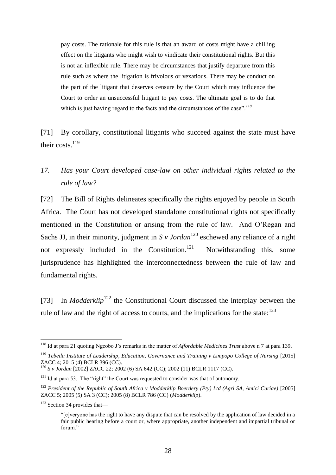pay costs. The rationale for this rule is that an award of costs might have a chilling effect on the litigants who might wish to vindicate their constitutional rights. But this is not an inflexible rule. There may be circumstances that justify departure from this rule such as where the litigation is frivolous or vexatious. There may be conduct on the part of the litigant that deserves censure by the Court which may influence the Court to order an unsuccessful litigant to pay costs. The ultimate goal is to do that which is just having regard to the facts and the circumstances of the case".*<sup>118</sup>*

[71] By corollary, constitutional litigants who succeed against the state must have their costs.<sup>119</sup>

## *17. Has your Court developed case-law on other individual rights related to the rule of law?*

[72] The Bill of Rights delineates specifically the rights enjoyed by people in South Africa. The Court has not developed standalone constitutional rights not specifically mentioned in the Constitution or arising from the rule of law. And O'Regan and Sachs JJ, in their minority, judgment in  $S \nu Jordan^{120}$  eschewed any reliance of a right not expressly included in the Constitution.<sup>121</sup> Notwithstanding this, some jurisprudence has highlighted the interconnectedness between the rule of law and fundamental rights.

[73] In *Modderklip*<sup>122</sup> the Constitutional Court discussed the interplay between the rule of law and the right of access to courts, and the implications for the state: $123$ 

<sup>118</sup> Id at para 21 quoting Ngcobo J's remarks in the matter of *Affordable Medicines Trust* above n 7 at para 139.

<sup>&</sup>lt;sup>119</sup> *Tebeila Institute of Leadership, Education, Governance and Training v Limpopo College of Nursing* [2015] ZACC 4; 2015 (4) BCLR 396 (CC).

<sup>120</sup> *S v Jordan* [2002] ZACC 22; 2002 (6) SA 642 (CC); 2002 (11) BCLR 1117 (CC).

 $121$  Id at para 53. The "right" the Court was requested to consider was that of autonomy.

<sup>122</sup> *President of the Republic of South Africa v Modderklip Boerdery (Pty) Ltd (Agri SA, Amici Curiae)* [2005] ZACC 5; 2005 (5) SA 3 (CC); 2005 (8) BCLR 786 (CC) (*Modderklip*).

 $123$  Section 34 provides that—

<sup>&</sup>quot;[e]veryone has the right to have any dispute that can be resolved by the application of law decided in a fair public hearing before a court or, where appropriate, another independent and impartial tribunal or forum."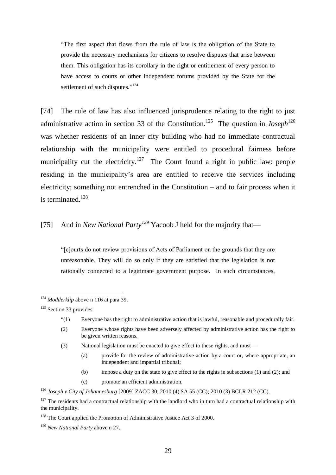"The first aspect that flows from the rule of law is the obligation of the State to provide the necessary mechanisms for citizens to resolve disputes that arise between them. This obligation has its corollary in the right or entitlement of every person to have access to courts or other independent forums provided by the State for the settlement of such disputes."<sup>124</sup>

[74] The rule of law has also influenced jurisprudence relating to the right to just administrative action in section 33 of the Constitution.<sup>125</sup> The question in *Joseph*<sup>126</sup> was whether residents of an inner city building who had no immediate contractual relationship with the municipality were entitled to procedural fairness before municipality cut the electricity.<sup>127</sup> The Court found a right in public law: people residing in the municipality's area are entitled to receive the services including electricity; something not entrenched in the Constitution – and to fair process when it is terminated. $128$ 

[75] And in *New National Party<sup>129</sup>* Yacoob J held for the majority that—

"[c]ourts do not review provisions of Acts of Parliament on the grounds that they are unreasonable. They will do so only if they are satisfied that the legislation is not rationally connected to a legitimate government purpose. In such circumstances,

 $\overline{a}$ 

- (a) provide for the review of administrative action by a court or, where appropriate, an independent and impartial tribunal;
- (b) impose a duty on the state to give effect to the rights in subsections (1) and (2); and
- (c) promote an efficient administration.

<sup>126</sup> *Joseph v City of Johannesburg* [2009] ZACC 30; 2010 (4) SA 55 (CC); 2010 (3) BCLR 212 (CC).

<sup>&</sup>lt;sup>124</sup> *Modderklip* above n 116 at para 39.

 $125$  Section 33 provides:

<sup>&</sup>quot;(1) Everyone has the right to administrative action that is lawful, reasonable and procedurally fair.

<sup>(2)</sup> Everyone whose rights have been adversely affected by administrative action has the right to be given written reasons.

<sup>(3)</sup> National legislation must be enacted to give effect to these rights, and must—

 $127$  The residents had a contractual relationship with the landlord who in turn had a contractual relationship with the municipality.

<sup>&</sup>lt;sup>128</sup> The Court applied the Promotion of Administrative Justice Act 3 of 2000.

<sup>129</sup> *New National Party* above n 27.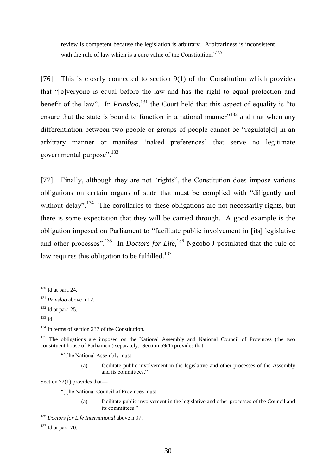review is competent because the legislation is arbitrary. Arbitrariness is inconsistent with the rule of law which is a core value of the Constitution."<sup>130</sup>

[76] This is closely connected to section 9(1) of the Constitution which provides that "[e]veryone is equal before the law and has the right to equal protection and benefit of the law". In *Prinsloo*,<sup>131</sup> the Court held that this aspect of equality is "to ensure that the state is bound to function in a rational manner $132$  and that when any differentiation between two people or groups of people cannot be "regulate[d] in an arbitrary manner or manifest 'naked preferences' that serve no legitimate governmental purpose". <sup>133</sup>

[77] Finally, although they are not "rights", the Constitution does impose various obligations on certain organs of state that must be complied with "diligently and without delay".<sup>134</sup> The corollaries to these obligations are not necessarily rights, but there is some expectation that they will be carried through. A good example is the obligation imposed on Parliament to "facilitate public involvement in [its] legislative and other processes".<sup>135</sup> In *Doctors for Life*,<sup>136</sup> Ngcobo J postulated that the rule of law requires this obligation to be fulfilled.<sup>137</sup>

 $\overline{a}$ 

"[t]he National Assembly must—

(a) facilitate public involvement in the legislative and other processes of the Assembly and its committees."

Section 72(1) provides that—

"[t]he National Council of Provinces must—

(a) facilitate public involvement in the legislative and other processes of the Council and its committees."

 $130$  Id at para 24.

<sup>131</sup> *Prinsloo* above n 12.

 $132$  Id at para 25.

 $133$  Id

<sup>&</sup>lt;sup>134</sup> In terms of section 237 of the Constitution.

<sup>&</sup>lt;sup>135</sup> The obligations are imposed on the National Assembly and National Council of Provinces (the two constituent house of Parliament) separately. Section 59(1) provides that—

<sup>136</sup> *Doctors for Life International* above n 97.

 $137$  Id at para 70.